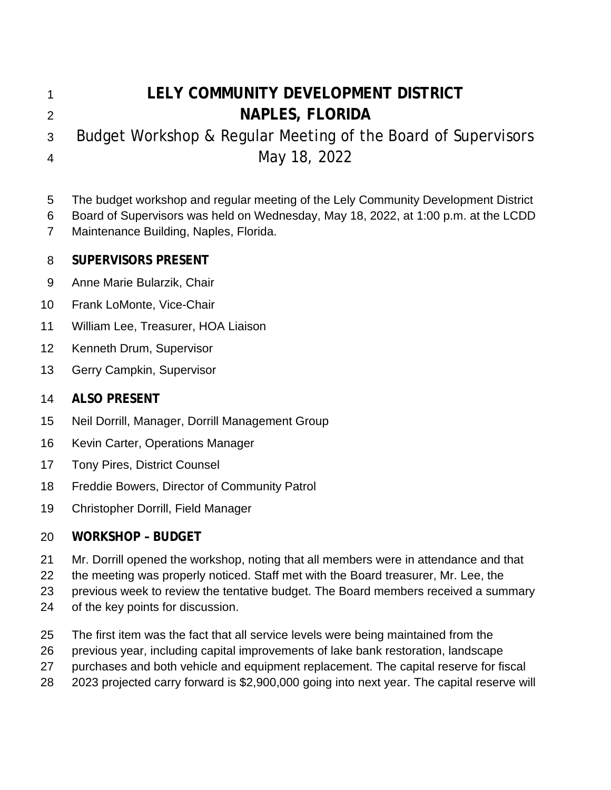# **LELY COMMUNITY DEVELOPMENT DISTRICT NAPLES, FLORIDA**

 Budget Workshop & Regular Meeting of the Board of Supervisors May 18, 2022

The budget workshop and regular meeting of the Lely Community Development District

 Board of Supervisors was held on Wednesday, May 18, 2022, at 1:00 p.m. at the LCDD Maintenance Building, Naples, Florida.

### **SUPERVISORS PRESENT**

- Anne Marie Bularzik, Chair
- Frank LoMonte, Vice-Chair
- William Lee, Treasurer, HOA Liaison
- Kenneth Drum, Supervisor
- Gerry Campkin, Supervisor

### **ALSO PRESENT**

- Neil Dorrill, Manager, Dorrill Management Group
- Kevin Carter, Operations Manager
- Tony Pires, District Counsel
- Freddie Bowers, Director of Community Patrol
- Christopher Dorrill, Field Manager

# **WORKSHOP – BUDGET**

- Mr. Dorrill opened the workshop, noting that all members were in attendance and that
- the meeting was properly noticed. Staff met with the Board treasurer, Mr. Lee, the
- previous week to review the tentative budget. The Board members received a summary
- of the key points for discussion.
- The first item was the fact that all service levels were being maintained from the
- previous year, including capital improvements of lake bank restoration, landscape
- purchases and both vehicle and equipment replacement. The capital reserve for fiscal
- 2023 projected carry forward is \$2,900,000 going into next year. The capital reserve will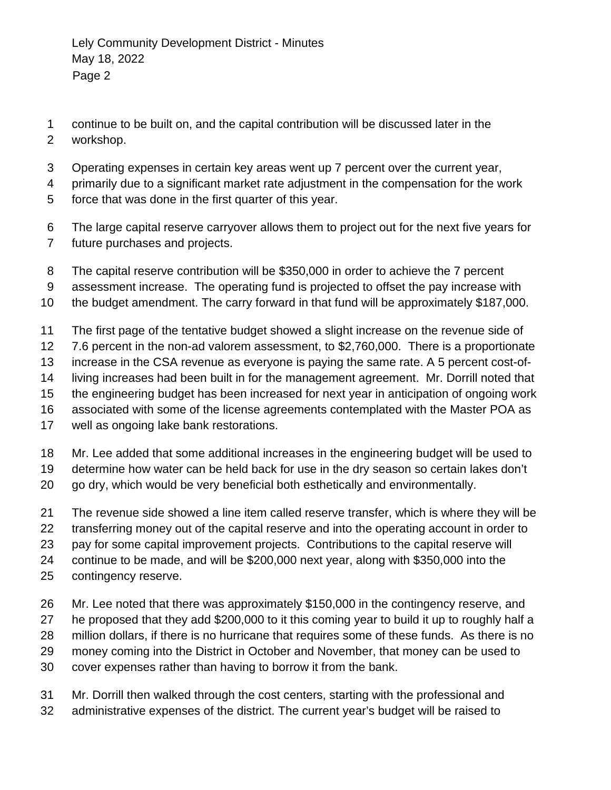- continue to be built on, and the capital contribution will be discussed later in the workshop.
- Operating expenses in certain key areas went up 7 percent over the current year,
- primarily due to a significant market rate adjustment in the compensation for the work force that was done in the first quarter of this year.
- The large capital reserve carryover allows them to project out for the next five years for future purchases and projects.
- The capital reserve contribution will be \$350,000 in order to achieve the 7 percent
- assessment increase. The operating fund is projected to offset the pay increase with
- the budget amendment. The carry forward in that fund will be approximately \$187,000.
- The first page of the tentative budget showed a slight increase on the revenue side of
- 7.6 percent in the non-ad valorem assessment, to \$2,760,000. There is a proportionate
- increase in the CSA revenue as everyone is paying the same rate. A 5 percent cost-of-
- living increases had been built in for the management agreement. Mr. Dorrill noted that
- the engineering budget has been increased for next year in anticipation of ongoing work
- associated with some of the license agreements contemplated with the Master POA as
- well as ongoing lake bank restorations.
- Mr. Lee added that some additional increases in the engineering budget will be used to
- determine how water can be held back for use in the dry season so certain lakes don't
- go dry, which would be very beneficial both esthetically and environmentally.
- The revenue side showed a line item called reserve transfer, which is where they will be transferring money out of the capital reserve and into the operating account in order to
- pay for some capital improvement projects. Contributions to the capital reserve will
- continue to be made, and will be \$200,000 next year, along with \$350,000 into the
- contingency reserve.
- Mr. Lee noted that there was approximately \$150,000 in the contingency reserve, and he proposed that they add \$200,000 to it this coming year to build it up to roughly half a million dollars, if there is no hurricane that requires some of these funds. As there is no money coming into the District in October and November, that money can be used to cover expenses rather than having to borrow it from the bank.
- Mr. Dorrill then walked through the cost centers, starting with the professional and administrative expenses of the district. The current year's budget will be raised to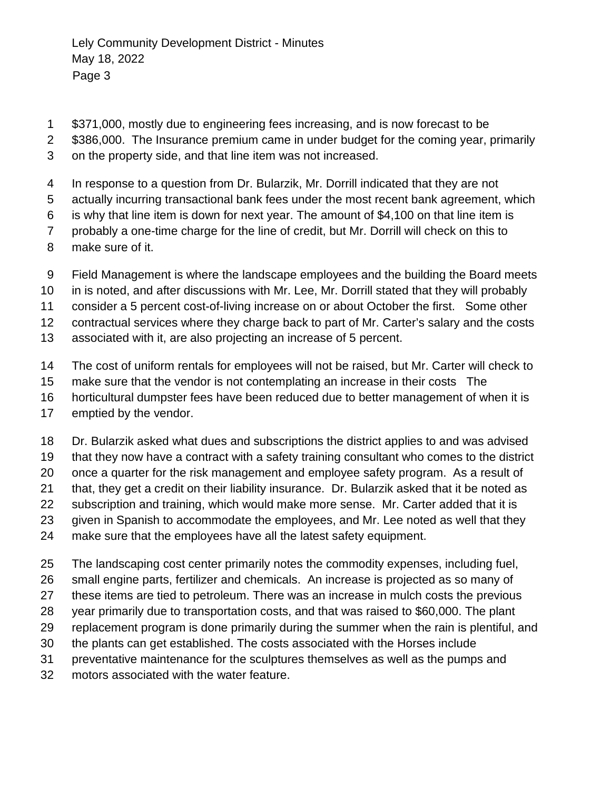- \$371,000, mostly due to engineering fees increasing, and is now forecast to be
- \$386,000. The Insurance premium came in under budget for the coming year, primarily
- on the property side, and that line item was not increased.
- In response to a question from Dr. Bularzik, Mr. Dorrill indicated that they are not
- actually incurring transactional bank fees under the most recent bank agreement, which
- is why that line item is down for next year. The amount of \$4,100 on that line item is
- probably a one-time charge for the line of credit, but Mr. Dorrill will check on this to
- make sure of it.
- Field Management is where the landscape employees and the building the Board meets
- in is noted, and after discussions with Mr. Lee, Mr. Dorrill stated that they will probably
- consider a 5 percent cost-of-living increase on or about October the first. Some other
- contractual services where they charge back to part of Mr. Carter's salary and the costs
- associated with it, are also projecting an increase of 5 percent.
- The cost of uniform rentals for employees will not be raised, but Mr. Carter will check to
- make sure that the vendor is not contemplating an increase in their costs The
- horticultural dumpster fees have been reduced due to better management of when it is
- emptied by the vendor.
- Dr. Bularzik asked what dues and subscriptions the district applies to and was advised
- that they now have a contract with a safety training consultant who comes to the district
- once a quarter for the risk management and employee safety program. As a result of
- that, they get a credit on their liability insurance. Dr. Bularzik asked that it be noted as
- subscription and training, which would make more sense. Mr. Carter added that it is
- given in Spanish to accommodate the employees, and Mr. Lee noted as well that they
- make sure that the employees have all the latest safety equipment.
- The landscaping cost center primarily notes the commodity expenses, including fuel,
- small engine parts, fertilizer and chemicals. An increase is projected as so many of
- these items are tied to petroleum. There was an increase in mulch costs the previous
- year primarily due to transportation costs, and that was raised to \$60,000. The plant
- replacement program is done primarily during the summer when the rain is plentiful, and
- the plants can get established. The costs associated with the Horses include
- preventative maintenance for the sculptures themselves as well as the pumps and
- motors associated with the water feature.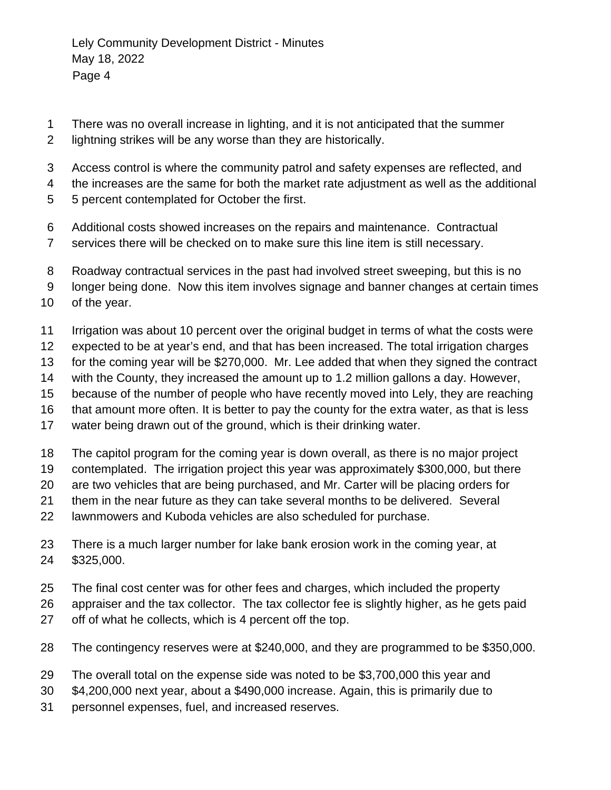- There was no overall increase in lighting, and it is not anticipated that the summer
- lightning strikes will be any worse than they are historically.
- Access control is where the community patrol and safety expenses are reflected, and
- the increases are the same for both the market rate adjustment as well as the additional
- 5 percent contemplated for October the first.
- Additional costs showed increases on the repairs and maintenance. Contractual
- services there will be checked on to make sure this line item is still necessary.
- Roadway contractual services in the past had involved street sweeping, but this is no
- longer being done. Now this item involves signage and banner changes at certain times
- of the year.
- Irrigation was about 10 percent over the original budget in terms of what the costs were
- expected to be at year's end, and that has been increased. The total irrigation charges
- for the coming year will be \$270,000. Mr. Lee added that when they signed the contract
- with the County, they increased the amount up to 1.2 million gallons a day. However,
- because of the number of people who have recently moved into Lely, they are reaching
- that amount more often. It is better to pay the county for the extra water, as that is less
- water being drawn out of the ground, which is their drinking water.
- The capitol program for the coming year is down overall, as there is no major project
- contemplated. The irrigation project this year was approximately \$300,000, but there
- are two vehicles that are being purchased, and Mr. Carter will be placing orders for
- them in the near future as they can take several months to be delivered. Several
- lawnmowers and Kuboda vehicles are also scheduled for purchase.
- There is a much larger number for lake bank erosion work in the coming year, at \$325,000.
- The final cost center was for other fees and charges, which included the property
- appraiser and the tax collector. The tax collector fee is slightly higher, as he gets paid
- off of what he collects, which is 4 percent off the top.
- The contingency reserves were at \$240,000, and they are programmed to be \$350,000.
- The overall total on the expense side was noted to be \$3,700,000 this year and
- \$4,200,000 next year, about a \$490,000 increase. Again, this is primarily due to
- personnel expenses, fuel, and increased reserves.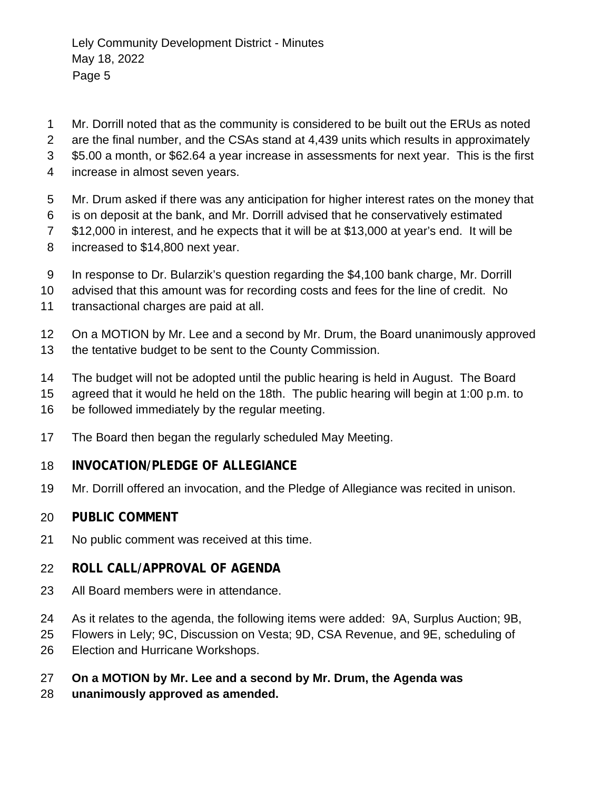- Mr. Dorrill noted that as the community is considered to be built out the ERUs as noted
- are the final number, and the CSAs stand at 4,439 units which results in approximately
- \$5.00 a month, or \$62.64 a year increase in assessments for next year. This is the first
- increase in almost seven years.
- Mr. Drum asked if there was any anticipation for higher interest rates on the money that
- is on deposit at the bank, and Mr. Dorrill advised that he conservatively estimated
- \$12,000 in interest, and he expects that it will be at \$13,000 at year's end. It will be
- increased to \$14,800 next year.
- In response to Dr. Bularzik's question regarding the \$4,100 bank charge, Mr. Dorrill
- advised that this amount was for recording costs and fees for the line of credit. No
- transactional charges are paid at all.
- On a MOTION by Mr. Lee and a second by Mr. Drum, the Board unanimously approved the tentative budget to be sent to the County Commission.
- The budget will not be adopted until the public hearing is held in August. The Board
- agreed that it would he held on the 18th. The public hearing will begin at 1:00 p.m. to
- be followed immediately by the regular meeting.
- The Board then began the regularly scheduled May Meeting.

### **INVOCATION/PLEDGE OF ALLEGIANCE**

Mr. Dorrill offered an invocation, and the Pledge of Allegiance was recited in unison.

#### **PUBLIC COMMENT**

No public comment was received at this time.

### **ROLL CALL/APPROVAL OF AGENDA**

- All Board members were in attendance.
- As it relates to the agenda, the following items were added: 9A, Surplus Auction; 9B,
- Flowers in Lely; 9C, Discussion on Vesta; 9D, CSA Revenue, and 9E, scheduling of
- Election and Hurricane Workshops.
- **On a MOTION by Mr. Lee and a second by Mr. Drum, the Agenda was**
- **unanimously approved as amended.**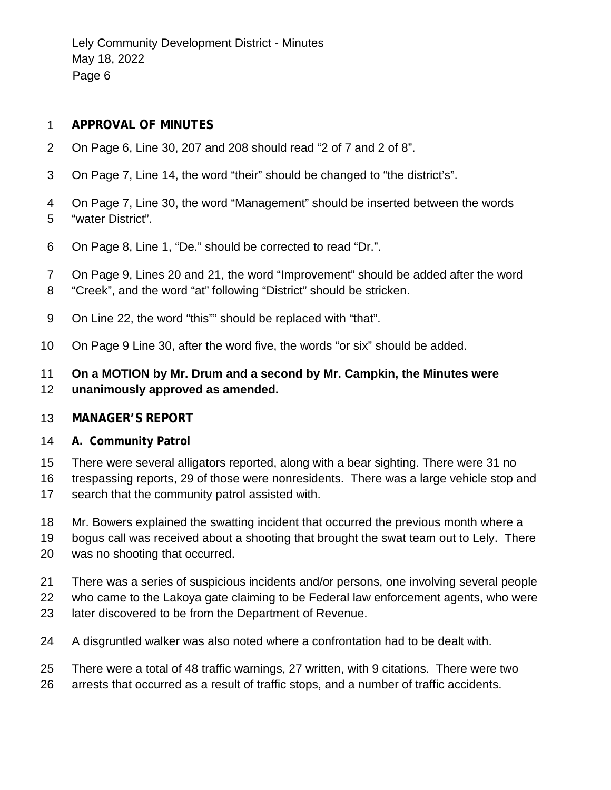Lely Community Development District - Minutes May 18, 2022 Page 6

#### **APPROVAL OF MINUTES**

- On Page 6, Line 30, 207 and 208 should read "2 of 7 and 2 of 8".
- On Page 7, Line 14, the word "their" should be changed to "the district's".
- On Page 7, Line 30, the word "Management" should be inserted between the words "water District".
- On Page 8, Line 1, "De." should be corrected to read "Dr.".
- On Page 9, Lines 20 and 21, the word "Improvement" should be added after the word
- "Creek", and the word "at" following "District" should be stricken.
- On Line 22, the word "this"" should be replaced with "that".
- On Page 9 Line 30, after the word five, the words "or six" should be added.

#### **On a MOTION by Mr. Drum and a second by Mr. Campkin, the Minutes were unanimously approved as amended.**

#### **MANAGER'S REPORT**

#### **A. Community Patrol**

- There were several alligators reported, along with a bear sighting. There were 31 no
- trespassing reports, 29 of those were nonresidents. There was a large vehicle stop and search that the community patrol assisted with.
- Mr. Bowers explained the swatting incident that occurred the previous month where a
- bogus call was received about a shooting that brought the swat team out to Lely. There
- was no shooting that occurred.
- There was a series of suspicious incidents and/or persons, one involving several people
- who came to the Lakoya gate claiming to be Federal law enforcement agents, who were
- later discovered to be from the Department of Revenue.
- A disgruntled walker was also noted where a confrontation had to be dealt with.
- There were a total of 48 traffic warnings, 27 written, with 9 citations. There were two
- arrests that occurred as a result of traffic stops, and a number of traffic accidents.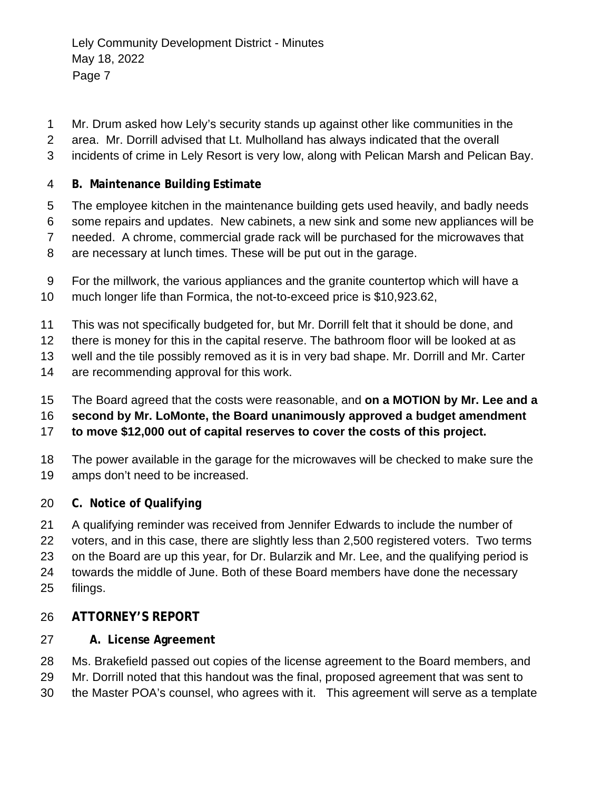- Mr. Drum asked how Lely's security stands up against other like communities in the
- area. Mr. Dorrill advised that Lt. Mulholland has always indicated that the overall
- incidents of crime in Lely Resort is very low, along with Pelican Marsh and Pelican Bay.
- **B. Maintenance Building Estimate**
- The employee kitchen in the maintenance building gets used heavily, and badly needs
- some repairs and updates. New cabinets, a new sink and some new appliances will be needed. A chrome, commercial grade rack will be purchased for the microwaves that
- are necessary at lunch times. These will be put out in the garage.
- For the millwork, the various appliances and the granite countertop which will have a much longer life than Formica, the not-to-exceed price is \$10,923.62,
- This was not specifically budgeted for, but Mr. Dorrill felt that it should be done, and
- there is money for this in the capital reserve. The bathroom floor will be looked at as
- well and the tile possibly removed as it is in very bad shape. Mr. Dorrill and Mr. Carter
- are recommending approval for this work.
- The Board agreed that the costs were reasonable, and **on a MOTION by Mr. Lee and a**
- **second by Mr. LoMonte, the Board unanimously approved a budget amendment**
- **to move \$12,000 out of capital reserves to cover the costs of this project.**
- The power available in the garage for the microwaves will be checked to make sure the amps don't need to be increased.
- **C. Notice of Qualifying**
- A qualifying reminder was received from Jennifer Edwards to include the number of
- voters, and in this case, there are slightly less than 2,500 registered voters. Two terms
- on the Board are up this year, for Dr. Bularzik and Mr. Lee, and the qualifying period is
- towards the middle of June. Both of these Board members have done the necessary
- filings.

# **ATTORNEY'S REPORT**

- **A. License Agreement**
- Ms. Brakefield passed out copies of the license agreement to the Board members, and
- Mr. Dorrill noted that this handout was the final, proposed agreement that was sent to
- the Master POA's counsel, who agrees with it. This agreement will serve as a template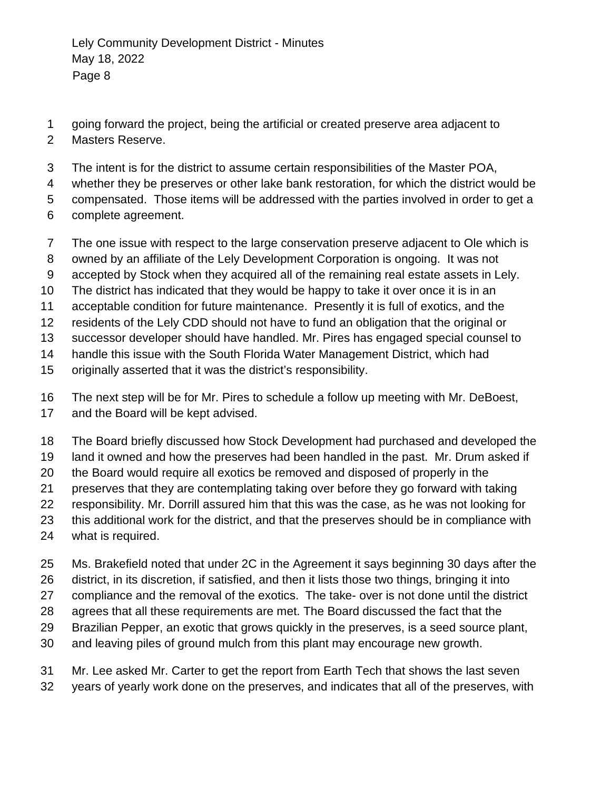- going forward the project, being the artificial or created preserve area adjacent to
- Masters Reserve.
- The intent is for the district to assume certain responsibilities of the Master POA,
- whether they be preserves or other lake bank restoration, for which the district would be
- compensated. Those items will be addressed with the parties involved in order to get a
- complete agreement.
- The one issue with respect to the large conservation preserve adjacent to Ole which is
- owned by an affiliate of the Lely Development Corporation is ongoing. It was not
- accepted by Stock when they acquired all of the remaining real estate assets in Lely.
- The district has indicated that they would be happy to take it over once it is in an
- acceptable condition for future maintenance. Presently it is full of exotics, and the
- residents of the Lely CDD should not have to fund an obligation that the original or
- successor developer should have handled. Mr. Pires has engaged special counsel to
- handle this issue with the South Florida Water Management District, which had
- originally asserted that it was the district's responsibility.
- The next step will be for Mr. Pires to schedule a follow up meeting with Mr. DeBoest,
- and the Board will be kept advised.
- The Board briefly discussed how Stock Development had purchased and developed the
- land it owned and how the preserves had been handled in the past. Mr. Drum asked if
- the Board would require all exotics be removed and disposed of properly in the
- preserves that they are contemplating taking over before they go forward with taking
- responsibility. Mr. Dorrill assured him that this was the case, as he was not looking for
- this additional work for the district, and that the preserves should be in compliance with
- what is required.
- Ms. Brakefield noted that under 2C in the Agreement it says beginning 30 days after the
- district, in its discretion, if satisfied, and then it lists those two things, bringing it into
- compliance and the removal of the exotics. The take- over is not done until the district
- agrees that all these requirements are met. The Board discussed the fact that the
- Brazilian Pepper, an exotic that grows quickly in the preserves, is a seed source plant,
- and leaving piles of ground mulch from this plant may encourage new growth.
- Mr. Lee asked Mr. Carter to get the report from Earth Tech that shows the last seven
- years of yearly work done on the preserves, and indicates that all of the preserves, with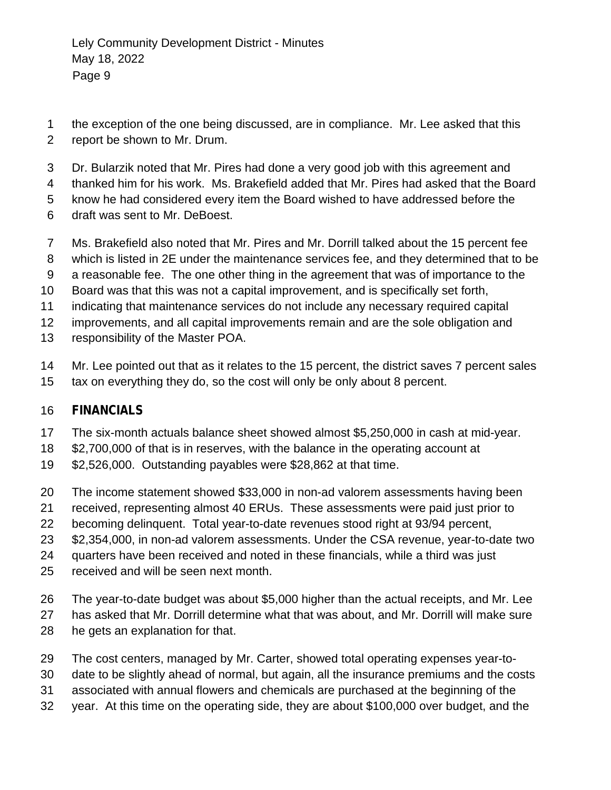- the exception of the one being discussed, are in compliance. Mr. Lee asked that this report be shown to Mr. Drum.
- Dr. Bularzik noted that Mr. Pires had done a very good job with this agreement and
- thanked him for his work. Ms. Brakefield added that Mr. Pires had asked that the Board
- know he had considered every item the Board wished to have addressed before the
- draft was sent to Mr. DeBoest.
- Ms. Brakefield also noted that Mr. Pires and Mr. Dorrill talked about the 15 percent fee
- which is listed in 2E under the maintenance services fee, and they determined that to be
- a reasonable fee. The one other thing in the agreement that was of importance to the
- Board was that this was not a capital improvement, and is specifically set forth,
- indicating that maintenance services do not include any necessary required capital
- improvements, and all capital improvements remain and are the sole obligation and
- responsibility of the Master POA.
- Mr. Lee pointed out that as it relates to the 15 percent, the district saves 7 percent sales tax on everything they do, so the cost will only be only about 8 percent.

### **FINANCIALS**

- The six-month actuals balance sheet showed almost \$5,250,000 in cash at mid-year.
- \$2,700,000 of that is in reserves, with the balance in the operating account at
- \$2,526,000. Outstanding payables were \$28,862 at that time.
- The income statement showed \$33,000 in non-ad valorem assessments having been
- received, representing almost 40 ERUs. These assessments were paid just prior to
- becoming delinquent. Total year-to-date revenues stood right at 93/94 percent,
- \$2,354,000, in non-ad valorem assessments. Under the CSA revenue, year-to-date two
- quarters have been received and noted in these financials, while a third was just
- received and will be seen next month.
- The year-to-date budget was about \$5,000 higher than the actual receipts, and Mr. Lee
- has asked that Mr. Dorrill determine what that was about, and Mr. Dorrill will make sure
- he gets an explanation for that.
- The cost centers, managed by Mr. Carter, showed total operating expenses year-to-
- date to be slightly ahead of normal, but again, all the insurance premiums and the costs
- associated with annual flowers and chemicals are purchased at the beginning of the
- year. At this time on the operating side, they are about \$100,000 over budget, and the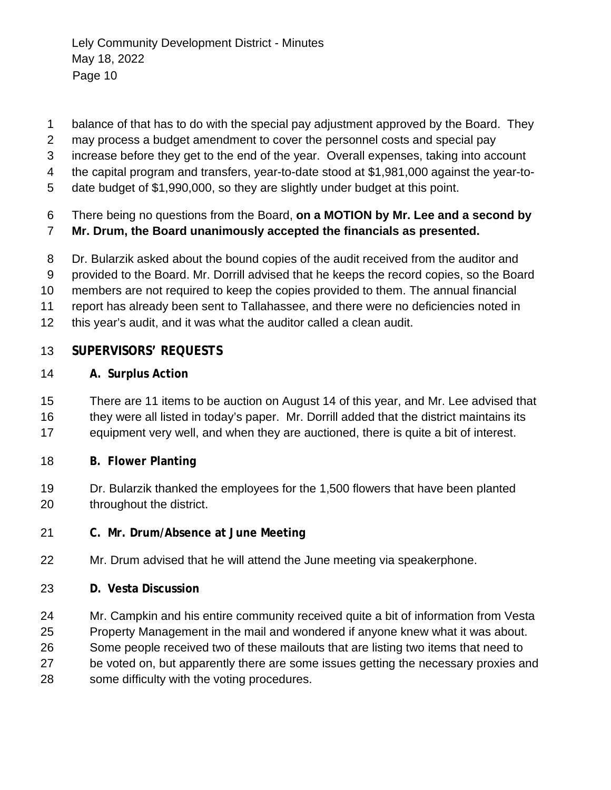- balance of that has to do with the special pay adjustment approved by the Board. They
- may process a budget amendment to cover the personnel costs and special pay
- increase before they get to the end of the year. Overall expenses, taking into account
- the capital program and transfers, year-to-date stood at \$1,981,000 against the year-to-
- date budget of \$1,990,000, so they are slightly under budget at this point.
- There being no questions from the Board, **on a MOTION by Mr. Lee and a second by**
- **Mr. Drum, the Board unanimously accepted the financials as presented.**
- Dr. Bularzik asked about the bound copies of the audit received from the auditor and
- provided to the Board. Mr. Dorrill advised that he keeps the record copies, so the Board
- members are not required to keep the copies provided to them. The annual financial
- report has already been sent to Tallahassee, and there were no deficiencies noted in
- this year's audit, and it was what the auditor called a clean audit.

### **SUPERVISORS' REQUESTS**

- **A. Surplus Action**
- There are 11 items to be auction on August 14 of this year, and Mr. Lee advised that 16 they were all listed in today's paper. Mr. Dorrill added that the district maintains its equipment very well, and when they are auctioned, there is quite a bit of interest.
- **B. Flower Planting**
- Dr. Bularzik thanked the employees for the 1,500 flowers that have been planted throughout the district.
- **C. Mr. Drum/Absence at June Meeting**
- Mr. Drum advised that he will attend the June meeting via speakerphone.
- **D. Vesta Discussion**
- Mr. Campkin and his entire community received quite a bit of information from Vesta
- Property Management in the mail and wondered if anyone knew what it was about.
- Some people received two of these mailouts that are listing two items that need to
- be voted on, but apparently there are some issues getting the necessary proxies and
- some difficulty with the voting procedures.